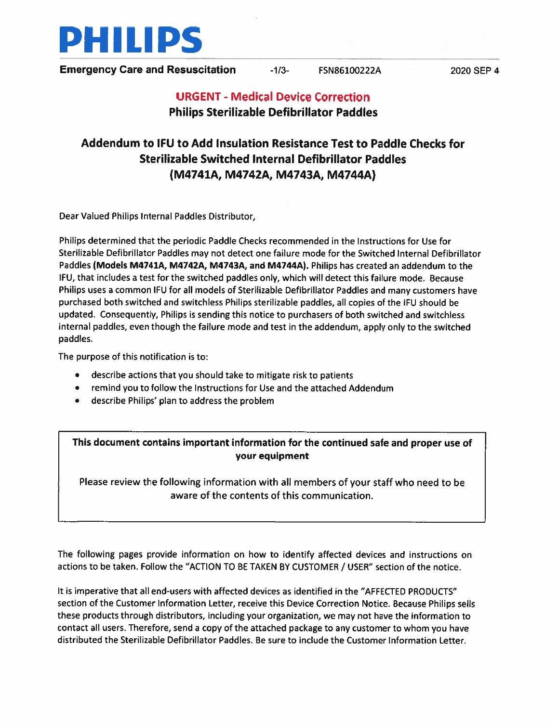

**Emergency Care and Resuscitation**  $-1/3$ **-** FSN86100222A 2020 SEP 4

# URGENT - Medical Device Correction Philips Sterilizable Defibrillator Paddles

# Addendum to IFU to Add Insulation Resistance Test to Paddle Checks for Sterilizable Switched Internal Defibrillator Paddles (M4741A, M4742A, M4743A, M4744A)

Dear Valued Philips Internal Paddles Distributor,

Philips determined that the periodic Paddle Checks recommended in the Instructions for Use for Sterilizable Defibrillator Paddles may not detect one failure mode for the Switched Internal Defibrillator Paddles (Models M4741A, M4742A, M4743A, and M4744A). Philips has created an addendum to the IFU, that includes <sup>a</sup> test for the switched paddles only, which will detect this failure mode. Because Philips uses <sup>a</sup> common IFU for all models of Sterilizable Defibrillator Paddles and many customers have purchased both switched and switchless Philips sterilizable paddles, all copies of the IFU should be updated. Consequently, Philips is sending this notice to purchasers of both switched and switchless internal paddles, even though the failure mode and test in the addendum, apply only to the switched paddles.

The purpose of this notification is to:

- describe actions that you should take to mitigate risk to patients
- •remind you to follow the Instructions for Use and the attached Addendum
- •describe Philips' plan to address the problem

This document contains important information for the continued safe and proper use of your equipment

Please review the following information with all members of your staff who need to be aware of the contents of this communication.

The following pages provide information on how to identify affected devices and instructions on actions to be taken. Follow the "ACTION TO BE TAKEN BY CUSTOMER / USER" section of the notice.

It is imperative that all end-users with affected devices as identified in the "AFFECTED PRODUCTS" section of the Customer Information Letter, receive this Device Correction Notice. Because Philips sells these products through distributors, including your organization, we may not have the information to contact all users. Therefore, send <sup>a</sup> copy of the attached package to any customer to whom you have distributed the Sterilizable Defibrillator Paddles. Be sure to include the Customer Information Letter,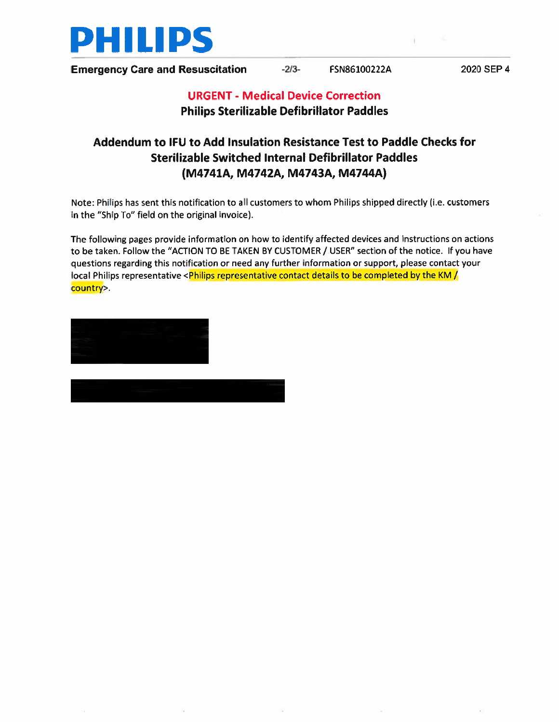

Emergency Care and Resuscitation -2/3- FSN86100222A 2020 SEP 4

## URGENT - Medical Device Correction Philips Sterilizable Defibrillator Paddles

## Addendum to IFU to Add Insulation Resistance Test to Paddle Checks for Sterilizable Switched Internal Defibrillator Paddles (M4741A, M4742A, M4743A, M4744A)

Note: Philips has sent this notification to all customers to whom Philips shipped directly (i.e. customers in the "Ship To" field on the original invoice).

The following pages provide information on how to identify affected devices and instructions on actions to be taken. Follow the "ACTION TO BE TAKEN BY CUSTDMER / USER" section of the notice. If you have questions regarding this notification or need any further information or support, <sup>p</sup>lease contact your local Philips representative <Philips representative contact details to be completed by the KM  $\mu$ country>.

Director, Quality, Emergency Care and Resuscitation

Tanya Deschmidt